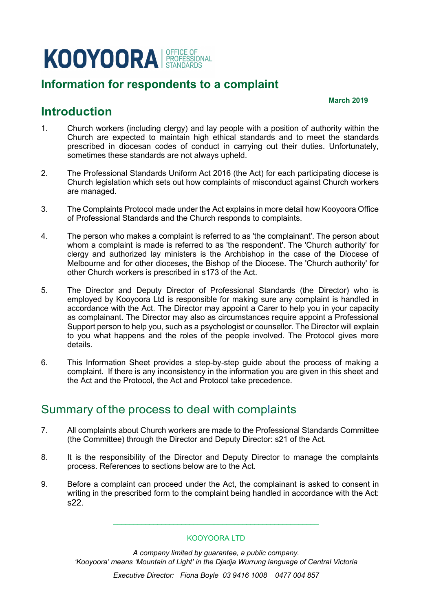# KOOYOORA REFIGE OF

## **Information for respondents to a complaint**

#### **March 2019**

### **Introduction**

- 1. Church workers (including clergy) and lay people with a position of authority within the Church are expected to maintain high ethical standards and to meet the standards prescribed in diocesan codes of conduct in carrying out their duties. Unfortunately, sometimes these standards are not always upheld.
- 2. The Professional Standards Uniform Act 2016 (the Act) for each participating diocese is Church legislation which sets out how complaints of misconduct against Church workers are managed.
- 3. The Complaints Protocol made under the Act explains in more detail how Kooyoora Office of Professional Standards and the Church responds to complaints.
- 4. The person who makes a complaint is referred to as 'the complainant'. The person about whom a complaint is made is referred to as 'the respondent'. The 'Church authority' for clergy and authorized lay ministers is the Archbishop in the case of the Diocese of Melbourne and for other dioceses, the Bishop of the Diocese. The 'Church authority' for other Church workers is prescribed in s173 of the Act.
- 5. The Director and Deputy Director of Professional Standards (the Director) who is employed by Kooyoora Ltd is responsible for making sure any complaint is handled in accordance with the Act. The Director may appoint a Carer to help you in your capacity as complainant. The Director may also as circumstances require appoint a Professional Support person to help you, such as a psychologist or counsellor. The Director will explain to you what happens and the roles of the people involved. The Protocol gives more details.
- 6. This Information Sheet provides a step-by-step guide about the process of making a complaint. If there is any inconsistency in the information you are given in this sheet and the Act and the Protocol, the Act and Protocol take precedence.

#### Summary of the process to deal with complaints

- 7. All complaints about Church workers are made to the Professional Standards Committee (the Committee) through the Director and Deputy Director: s21 of the Act.
- 8. It is the responsibility of the Director and Deputy Director to manage the complaints process. References to sections below are to the Act.
- 9. Before a complaint can proceed under the Act, the complainant is asked to consent in writing in the prescribed form to the complaint being handled in accordance with the Act: s22.

#### KOOYOORA LTD

\_\_\_\_\_\_\_\_\_\_\_\_\_\_\_\_\_\_\_\_\_\_\_\_\_\_\_\_\_\_\_\_\_\_\_\_\_\_\_\_\_\_\_\_\_\_\_\_\_\_\_

*A company limited by guarantee, a public company. 'Kooyoora' means 'Mountain of Light' in the Djadja Wurrung language of Central Victoria*

*Executive Director: Fiona Boyle 03 9416 1008 0477 004 857*